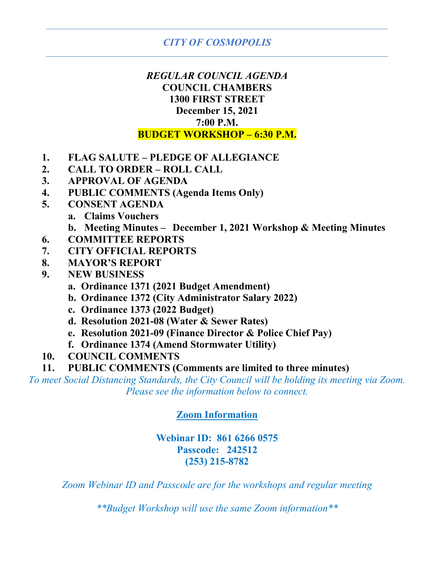# *REGULAR COUNCIL AGENDA* **COUNCIL CHAMBERS 1300 FIRST STREET December 15, 2021 7:00 P.M. BUDGET WORKSHOP – 6:30 P.M.**

- **1. FLAG SALUTE – PLEDGE OF ALLEGIANCE**
- **2. CALL TO ORDER – ROLL CALL**
- **3. APPROVAL OF AGENDA**
- **4. PUBLIC COMMENTS (Agenda Items Only)**
- **5. CONSENT AGENDA**
	- **a. Claims Vouchers**
	- **b. Meeting Minutes – December 1, 2021 Workshop & Meeting Minutes**
- **6. COMMITTEE REPORTS**
- **7. CITY OFFICIAL REPORTS**
- **8. MAYOR'S REPORT**
- **9. NEW BUSINESS**
	- **a. Ordinance 1371 (2021 Budget Amendment)**
	- **b. Ordinance 1372 (City Administrator Salary 2022)**
	- **c. Ordinance 1373 (2022 Budget)**
	- **d. Resolution 2021-08 (Water & Sewer Rates)**
	- **e. Resolution 2021-09 (Finance Director & Police Chief Pay)**
	- **f. Ordinance 1374 (Amend Stormwater Utility)**
- **10. COUNCIL COMMENTS**
- **11. PUBLIC COMMENTS (Comments are limited to three minutes)**

*To meet Social Distancing Standards, the City Council will be holding its meeting via Zoom. Please see the information below to connect.*

### **Zoom Information**

### **Webinar ID: 861 6266 0575 Passcode: 242512 (253) 215-8782**

*Zoom Webinar ID and Passcode are for the workshops and regular meeting*

*\*\*Budget Workshop will use the same Zoom information\*\**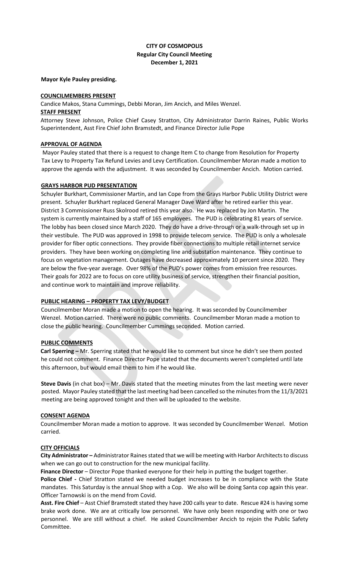#### **CITY OF COSMOPOLIS Regular City Council Meeting December 1, 2021**

#### **Mayor Kyle Pauley presiding.**

#### **COUNCILMEMBERS PRESENT**

Candice Makos, Stana Cummings, Debbi Moran, Jim Ancich, and Miles Wenzel.

#### **STAFF PRESENT**

Attorney Steve Johnson, Police Chief Casey Stratton, City Administrator Darrin Raines, Public Works Superintendent, Asst Fire Chief John Bramstedt, and Finance Director Julie Pope

#### **APPROVAL OF AGENDA**

Mayor Pauley stated that there is a request to change Item C to change from Resolution for Property Tax Levy to Property Tax Refund Levies and Levy Certification. Councilmember Moran made a motion to approve the agenda with the adjustment. It was seconded by Councilmember Ancich. Motion carried.

#### **GRAYS HARBOR PUD PRESENTATION**

Schuyler Burkhart, Commissioner Martin, and Ian Cope from the Grays Harbor Public Utility District were present. Schuyler Burkhart replaced General Manager Dave Ward after he retired earlier this year. District 3 Commissioner Russ Skolrood retired this year also. He was replaced by Jon Martin. The system is currently maintained by a staff of 165 employees. The PUD is celebrating 81 years of service. The lobby has been closed since March 2020. They do have a drive-through or a walk-through set up in their vestibule. The PUD was approved in 1998 to provide telecom service. The PUD is only a wholesale provider for fiber optic connections. They provide fiber connections to multiple retail internet service providers. They have been working on completing line and substation maintenance. They continue to focus on vegetation management. Outages have decreased approximately 10 percent since 2020. They are below the five-year average. Over 98% of the PUD's power comes from emission free resources. Their goals for 2022 are to focus on core utility business of service, strengthen their financial position, and continue work to maintain and improve reliability.

#### **PUBLIC HEARING – PROPERTY TAX LEVY/BUDGET**

Councilmember Moran made a motion to open the hearing. It was seconded by Councilmember Wenzel. Motion carried. There were no public comments. Councilmember Moran made a motion to close the public hearing. Councilmember Cummings seconded. Motion carried.

#### **PUBLIC COMMENTS**

**Carl Sperring –** Mr. Sperring stated that he would like to comment but since he didn't see them posted he could not comment. Finance Director Pope stated that the documents weren't completed until late this afternoon, but would email them to him if he would like.

**Steve Davis** (in chat box) – Mr. Davis stated that the meeting minutes from the last meeting were never posted. Mayor Pauley stated that the last meeting had been cancelled so the minutes from the 11/3/2021 meeting are being approved tonight and then will be uploaded to the website.

#### **CONSENT AGENDA**

Councilmember Moran made a motion to approve. It was seconded by Councilmember Wenzel. Motion carried.

#### **CITY OFFICIALS**

**City Administrator –** Administrator Raines stated that we will be meeting with Harbor Architects to discuss when we can go out to construction for the new municipal facility.

**Finance Director** – Director Pope thanked everyone for their help in putting the budget together.

**Police Chief -** Chief Stratton stated we needed budget increases to be in compliance with the State mandates. This Saturday is the annual Shop with a Cop. We also will be doing Santa cop again this year. Officer Tarnowski is on the mend from Covid.

**Asst. Fire Chief** – Asst Chief Bramstedt stated they have 200 calls year to date. Rescue #24 is having some brake work done. We are at critically low personnel. We have only been responding with one or two personnel. We are still without a chief. He asked Councilmember Ancich to rejoin the Public Safety Committee.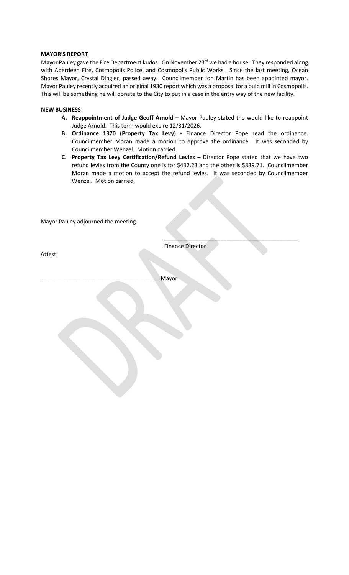#### **MAYOR'S REPORT**

Mayor Pauley gave the Fire Department kudos. On November 23<sup>rd</sup> we had a house. They responded along with Aberdeen Fire, Cosmopolis Police, and Cosmopolis Public Works. Since the last meeting, Ocean Shores Mayor, Crystal Dingler, passed away. Councilmember Jon Martin has been appointed mayor. Mayor Pauley recently acquired an original 1930 report which was a proposal for a pulp mill in Cosmopolis. This will be something he will donate to the City to put in a case in the entry way of the new facility.

#### **NEW BUSINESS**

- **A. Reappointment of Judge Geoff Arnold –** Mayor Pauley stated the would like to reappoint Judge Arnold. This term would expire 12/31/2026.
- **B. Ordinance 1370 (Property Tax Levy) -** Finance Director Pope read the ordinance. Councilmember Moran made a motion to approve the ordinance. It was seconded by Councilmember Wenzel. Motion carried.
- **C. Property Tax Levy Certification/Refund Levies –** Director Pope stated that we have two refund levies from the County one is for \$432.23 and the other is \$839.71. Councilmember Moran made a motion to accept the refund levies. It was seconded by Councilmember Wenzel. Motion carried.

Mayor Pauley adjourned the meeting.

Attest:

Finance Director

 $\overline{\phantom{a}}$  , where  $\overline{\phantom{a}}$  , where  $\overline{\phantom{a}}$  , where  $\overline{\phantom{a}}$  , where  $\overline{\phantom{a}}$ 

\_\_\_\_\_\_\_\_\_\_\_\_\_\_\_\_\_\_\_\_\_\_\_\_\_\_\_\_\_\_\_\_\_\_\_\_\_\_ Mayor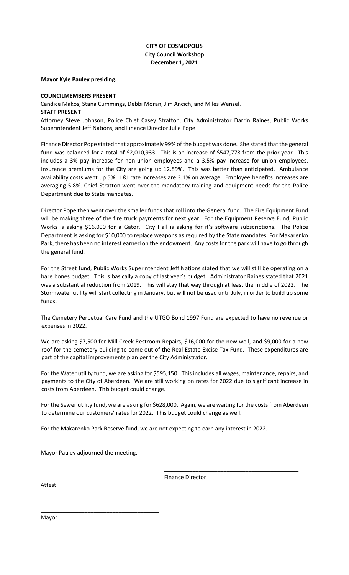#### **CITY OF COSMOPOLIS City Council Workshop December 1, 2021**

**Mayor Kyle Pauley presiding.** 

#### **COUNCILMEMBERS PRESENT**

Candice Makos, Stana Cummings, Debbi Moran, Jim Ancich, and Miles Wenzel.

#### **STAFF PRESENT**

Attorney Steve Johnson, Police Chief Casey Stratton, City Administrator Darrin Raines, Public Works Superintendent Jeff Nations, and Finance Director Julie Pope

Finance Director Pope stated that approximately 99% of the budget was done. She stated that the general fund was balanced for a total of \$2,010,933. This is an increase of \$547,778 from the prior year. This includes a 3% pay increase for non-union employees and a 3.5% pay increase for union employees. Insurance premiums for the City are going up 12.89%. This was better than anticipated. Ambulance availability costs went up 5%. L&I rate increases are 3.1% on average. Employee benefits increases are averaging 5.8%. Chief Stratton went over the mandatory training and equipment needs for the Police Department due to State mandates.

Director Pope then went over the smaller funds that roll into the General fund. The Fire Equipment Fund will be making three of the fire truck payments for next year. For the Equipment Reserve Fund, Public Works is asking \$16,000 for a Gator. City Hall is asking for it's software subscriptions. The Police Department is asking for \$10,000 to replace weapons as required by the State mandates. For Makarenko Park, there has been no interest earned on the endowment. Any costs for the park will have to go through the general fund.

For the Street fund, Public Works Superintendent Jeff Nations stated that we will still be operating on a bare bones budget. This is basically a copy of last year's budget. Administrator Raines stated that 2021 was a substantial reduction from 2019. This will stay that way through at least the middle of 2022. The Stormwater utility will start collecting in January, but will not be used until July, in order to build up some funds.

The Cemetery Perpetual Care Fund and the UTGO Bond 1997 Fund are expected to have no revenue or expenses in 2022.

We are asking \$7,500 for Mill Creek Restroom Repairs, \$16,000 for the new well, and \$9,000 for a new roof for the cemetery building to come out of the Real Estate Excise Tax Fund. These expenditures are part of the capital improvements plan per the City Administrator.

For the Water utility fund, we are asking for \$595,150. This includes all wages, maintenance, repairs, and payments to the City of Aberdeen. We are still working on rates for 2022 due to significant increase in costs from Aberdeen. This budget could change.

For the Sewer utility fund, we are asking for \$628,000. Again, we are waiting for the costs from Aberdeen to determine our customers' rates for 2022. This budget could change as well.

For the Makarenko Park Reserve fund, we are not expecting to earn any interest in 2022.

Mayor Pauley adjourned the meeting.

\_\_\_\_\_\_\_\_\_\_\_\_\_\_\_\_\_\_\_\_\_\_\_\_\_\_\_\_\_\_\_\_\_\_\_\_\_\_

Finance Director

\_\_\_\_\_\_\_\_\_\_\_\_\_\_\_\_\_\_\_\_\_\_\_\_\_\_\_\_\_\_\_\_\_\_\_\_\_\_\_\_\_\_\_

Attest:

Mayor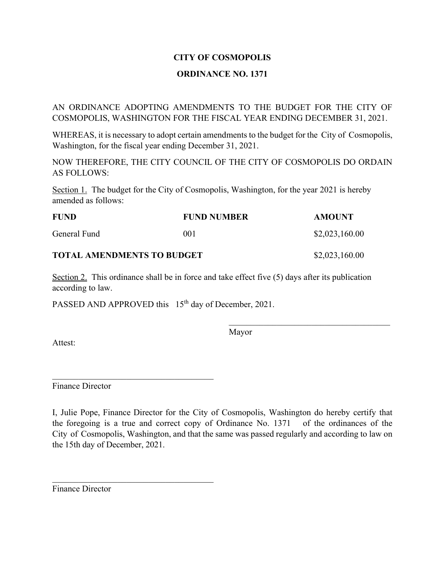#### **ORDINANCE NO. 1371**

AN ORDINANCE ADOPTING AMENDMENTS TO THE BUDGET FOR THE CITY OF COSMOPOLIS, WASHINGTON FOR THE FISCAL YEAR ENDING DECEMBER 31, 2021.

WHEREAS, it is necessary to adopt certain amendments to the budget for the City of Cosmopolis, Washington, for the fiscal year ending December 31, 2021.

NOW THEREFORE, THE CITY COUNCIL OF THE CITY OF COSMOPOLIS DO ORDAIN AS FOLLOWS:

Section 1. The budget for the City of Cosmopolis, Washington, for the year 2021 is hereby amended as follows:

| <b>FUND</b>                       | <b>FUND NUMBER</b> | AMOUNT         |
|-----------------------------------|--------------------|----------------|
| General Fund                      | (001               | \$2,023,160.00 |
| <b>TOTAL AMENDMENTS TO BUDGET</b> |                    | \$2,023,160.00 |

Section 2. This ordinance shall be in force and take effect five (5) days after its publication according to law.

PASSED AND APPROVED this 15<sup>th</sup> day of December, 2021.

\_\_\_\_\_\_\_\_\_\_\_\_\_\_\_\_\_\_\_\_\_\_\_\_\_\_\_\_\_\_\_\_\_\_\_\_\_

\_\_\_\_\_\_\_\_\_\_\_\_\_\_\_\_\_\_\_\_\_\_\_\_\_\_\_\_\_\_\_\_\_\_\_\_\_

Mayor

Attest:

Finance Director

I, Julie Pope, Finance Director for the City of Cosmopolis, Washington do hereby certify that the foregoing is a true and correct copy of Ordinance No. 1371 of the ordinances of the City of Cosmopolis, Washington, and that the same was passed regularly and according to law on the 15th day of December, 2021.

Finance Director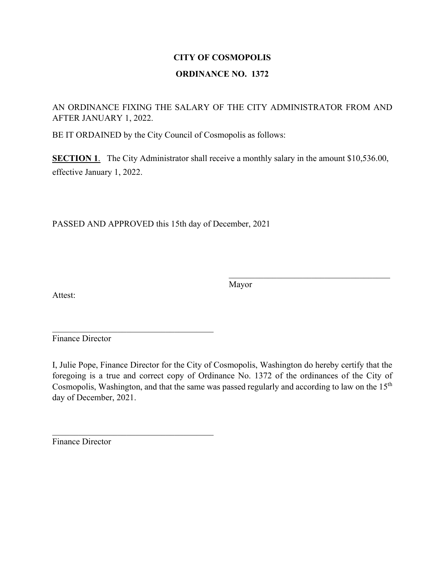# **CITY OF COSMOPOLIS ORDINANCE NO. 1372**

AN ORDINANCE FIXING THE SALARY OF THE CITY ADMINISTRATOR FROM AND AFTER JANUARY 1, 2022.

BE IT ORDAINED by the City Council of Cosmopolis as follows:

**SECTION 1.** The City Administrator shall receive a monthly salary in the amount \$10,536.00, effective January 1, 2022.

PASSED AND APPROVED this 15th day of December, 2021

\_\_\_\_\_\_\_\_\_\_\_\_\_\_\_\_\_\_\_\_\_\_\_\_\_\_\_\_\_\_\_\_\_\_\_\_\_

 $\mathcal{L}_\text{max}$  , and the set of the set of the set of the set of the set of the set of the set of the set of the set of the set of the set of the set of the set of the set of the set of the set of the set of the set of the

Attest:

Mayor

Finance Director

I, Julie Pope, Finance Director for the City of Cosmopolis, Washington do hereby certify that the foregoing is a true and correct copy of Ordinance No. 1372 of the ordinances of the City of Cosmopolis, Washington, and that the same was passed regularly and according to law on the 15<sup>th</sup> day of December, 2021.

Finance Director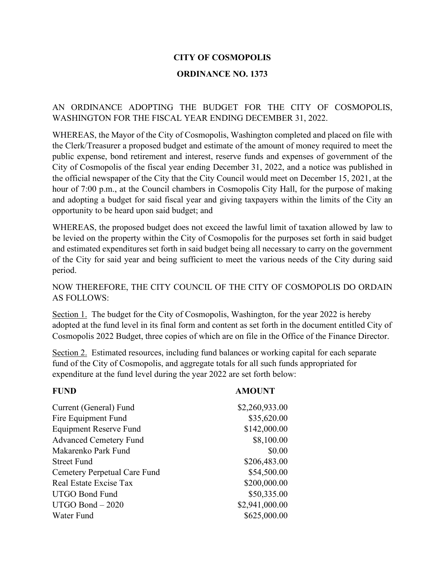#### **ORDINANCE NO. 1373**

#### AN ORDINANCE ADOPTING THE BUDGET FOR THE CITY OF COSMOPOLIS, WASHINGTON FOR THE FISCAL YEAR ENDING DECEMBER 31, 2022.

WHEREAS, the Mayor of the City of Cosmopolis, Washington completed and placed on file with the Clerk/Treasurer a proposed budget and estimate of the amount of money required to meet the public expense, bond retirement and interest, reserve funds and expenses of government of the City of Cosmopolis of the fiscal year ending December 31, 2022, and a notice was published in the official newspaper of the City that the City Council would meet on December 15, 2021, at the hour of 7:00 p.m., at the Council chambers in Cosmopolis City Hall, for the purpose of making and adopting a budget for said fiscal year and giving taxpayers within the limits of the City an opportunity to be heard upon said budget; and

WHEREAS, the proposed budget does not exceed the lawful limit of taxation allowed by law to be levied on the property within the City of Cosmopolis for the purposes set forth in said budget and estimated expenditures set forth in said budget being all necessary to carry on the government of the City for said year and being sufficient to meet the various needs of the City during said period.

#### NOW THEREFORE, THE CITY COUNCIL OF THE CITY OF COSMOPOLIS DO ORDAIN AS FOLLOWS:

Section 1. The budget for the City of Cosmopolis, Washington, for the year 2022 is hereby adopted at the fund level in its final form and content as set forth in the document entitled City of Cosmopolis 2022 Budget, three copies of which are on file in the Office of the Finance Director.

Section 2. Estimated resources, including fund balances or working capital for each separate fund of the City of Cosmopolis, and aggregate totals for all such funds appropriated for expenditure at the fund level during the year 2022 are set forth below:

#### **FUND AMOUNT**

| Current (General) Fund        | \$2,260,933.00 |
|-------------------------------|----------------|
| Fire Equipment Fund           | \$35,620.00    |
| <b>Equipment Reserve Fund</b> | \$142,000.00   |
| <b>Advanced Cemetery Fund</b> | \$8,100.00     |
| Makarenko Park Fund           | \$0.00         |
| <b>Street Fund</b>            | \$206,483.00   |
| Cemetery Perpetual Care Fund  | \$54,500.00    |
| Real Estate Excise Tax        | \$200,000.00   |
| <b>UTGO Bond Fund</b>         | \$50,335.00    |
| $UTGO$ Bond $-2020$           | \$2,941,000.00 |
| Water Fund                    | \$625,000.00   |
|                               |                |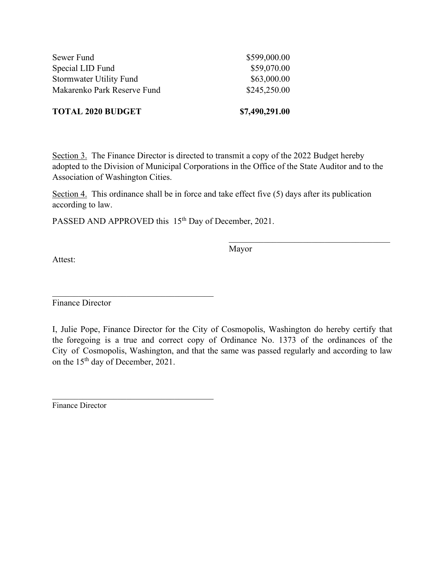| \$7,490,291.00 |
|----------------|
| \$245,250.00   |
| \$63,000.00    |
| \$59,070.00    |
| \$599,000.00   |
|                |

Section 3. The Finance Director is directed to transmit a copy of the 2022 Budget hereby adopted to the Division of Municipal Corporations in the Office of the State Auditor and to the Association of Washington Cities.

Section 4. This ordinance shall be in force and take effect five (5) days after its publication according to law.

PASSED AND APPROVED this 15<sup>th</sup> Day of December, 2021.

\_\_\_\_\_\_\_\_\_\_\_\_\_\_\_\_\_\_\_\_\_\_\_\_\_\_\_\_\_\_\_\_\_\_\_\_\_

Mayor

\_\_\_\_\_\_\_\_\_\_\_\_\_\_\_\_\_\_\_\_\_\_\_\_\_\_\_\_\_\_\_\_\_\_\_\_\_

Attest:

Finance Director

I, Julie Pope, Finance Director for the City of Cosmopolis, Washington do hereby certify that the foregoing is a true and correct copy of Ordinance No. 1373 of the ordinances of the City of Cosmopolis, Washington, and that the same was passed regularly and according to law on the 15th day of December, 2021.

Finance Director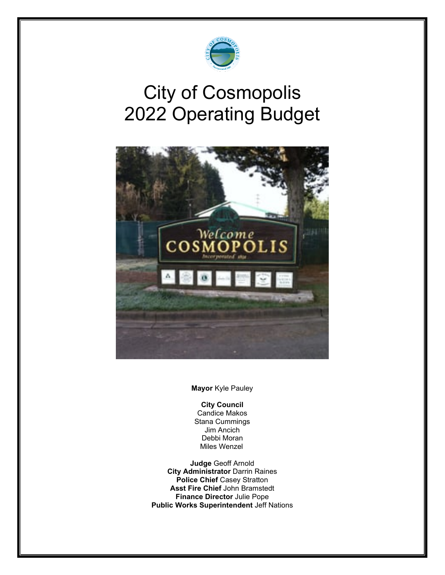

# City of Cosmopolis 2022 Operating Budget



**Mayor** Kyle Pauley

#### **City Council**

Candice Makos Stana Cummings Jim Ancich Debbi Moran Miles Wenzel

**Judge** Geoff Arnold **City Administrator** Darrin Raines **Police Chief** Casey Stratton **Asst Fire Chief** John Bramstedt **Finance Director** Julie Pope **Public Works Superintendent** Jeff Nations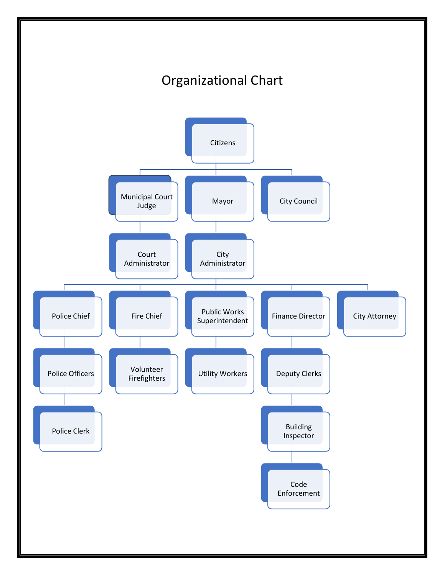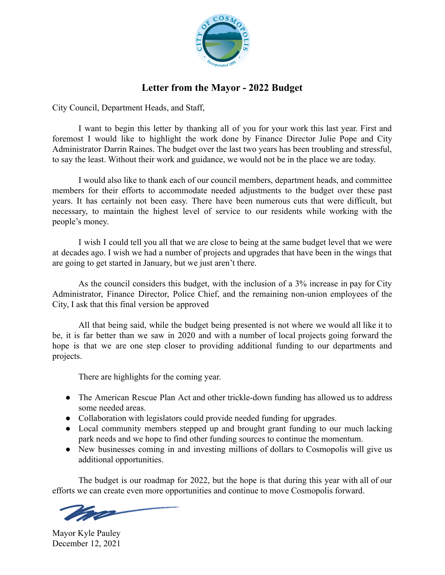

### **Letter from the Mayor - 2022 Budget**

City Council, Department Heads, and Staff,

I want to begin this letter by thanking all of you for your work this last year. First and foremost I would like to highlight the work done by Finance Director Julie Pope and City Administrator Darrin Raines. The budget over the last two years has been troubling and stressful, to say the least. Without their work and guidance, we would not be in the place we are today.

I would also like to thank each of our council members, department heads, and committee members for their efforts to accommodate needed adjustments to the budget over these past years. It has certainly not been easy. There have been numerous cuts that were difficult, but necessary, to maintain the highest level of service to our residents while working with the people's money.

I wish I could tell you all that we are close to being at the same budget level that we were at decades ago. I wish we had a number of projects and upgrades that have been in the wings that are going to get started in January, but we just aren't there.

As the council considers this budget, with the inclusion of a 3% increase in pay for City Administrator, Finance Director, Police Chief, and the remaining non-union employees of the City, I ask that this final version be approved

All that being said, while the budget being presented is not where we would all like it to be, it is far better than we saw in 2020 and with a number of local projects going forward the hope is that we are one step closer to providing additional funding to our departments and projects.

There are highlights for the coming year.

- The American Rescue Plan Act and other trickle-down funding has allowed us to address some needed areas.
- Collaboration with legislators could provide needed funding for upgrades.
- Local community members stepped up and brought grant funding to our much lacking park needs and we hope to find other funding sources to continue the momentum.
- New businesses coming in and investing millions of dollars to Cosmopolis will give us additional opportunities.

The budget is our roadmap for 2022, but the hope is that during this year with all of our efforts we can create even more opportunities and continue to move Cosmopolis forward.

Mayor Kyle Pauley December 12, 2021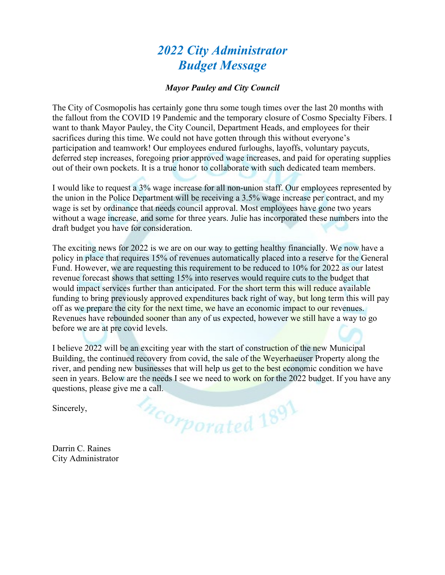# *2022 City Administrator Budget Message*

#### *Mayor Pauley and City Council*

The City of Cosmopolis has certainly gone thru some tough times over the last 20 months with the fallout from the COVID 19 Pandemic and the temporary closure of Cosmo Specialty Fibers. I want to thank Mayor Pauley, the City Council, Department Heads, and employees for their sacrifices during this time. We could not have gotten through this without everyone's participation and teamwork! Our employees endured furloughs, layoffs, voluntary paycuts, deferred step increases, foregoing prior approved wage increases, and paid for operating supplies out of their own pockets. It is a true honor to collaborate with such dedicated team members.

I would like to request a 3% wage increase for all non-union staff. Our employees represented by the union in the Police Department will be receiving a 3.5% wage increase per contract, and my wage is set by ordinance that needs council approval. Most employees have gone two years without a wage increase, and some for three years. Julie has incorporated these numbers into the draft budget you have for consideration.

The exciting news for 2022 is we are on our way to getting healthy financially. We now have a policy in place that requires 15% of revenues automatically placed into a reserve for the General Fund. However, we are requesting this requirement to be reduced to 10% for 2022 as our latest revenue forecast shows that setting 15% into reserves would require cuts to the budget that would impact services further than anticipated. For the short term this will reduce available funding to bring previously approved expenditures back right of way, but long term this will pay off as we prepare the city for the next time, we have an economic impact to our revenues. Revenues have rebounded sooner than any of us expected, however we still have a way to go before we are at pre covid levels.

I believe 2022 will be an exciting year with the start of construction of the new Municipal Building, the continued recovery from covid, the sale of the Weyerhaeuser Property along the river, and pending new businesses that will help us get to the best economic condition we have seen in years. Below are the needs I see we need to work on for the 2022 budget. If you have any questions, please give me a call.

ncorporated 1891

Sincerely,

Darrin C. Raines City Administrator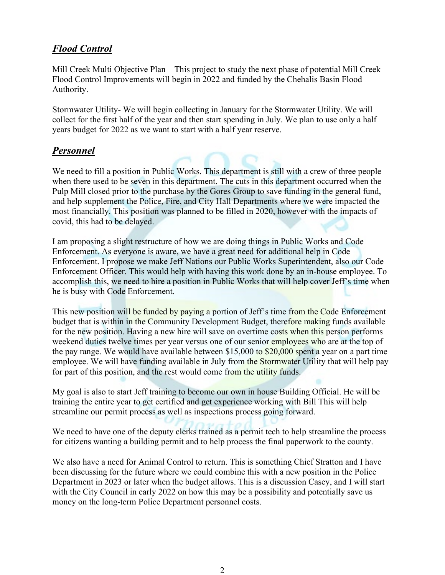# *Flood Control*

Mill Creek Multi Objective Plan – This project to study the next phase of potential Mill Creek Flood Control Improvements will begin in 2022 and funded by the Chehalis Basin Flood Authority.

Stormwater Utility- We will begin collecting in January for the Stormwater Utility. We will collect for the first half of the year and then start spending in July. We plan to use only a half years budget for 2022 as we want to start with a half year reserve.

#### *Personnel*

We need to fill a position in Public Works. This department is still with a crew of three people when there used to be seven in this department. The cuts in this department occurred when the Pulp Mill closed prior to the purchase by the Gores Group to save funding in the general fund, and help supplement the Police, Fire, and City Hall Departments where we were impacted the most financially. This position was planned to be filled in 2020, however with the impacts of covid, this had to be delayed.

I am proposing a slight restructure of how we are doing things in Public Works and Code Enforcement. As everyone is aware, we have a great need for additional help in Code Enforcement. I propose we make Jeff Nations our Public Works Superintendent, also our Code Enforcement Officer. This would help with having this work done by an in-house employee. To accomplish this, we need to hire a position in Public Works that will help cover Jeff's time when he is busy with Code Enforcement.

This new position will be funded by paying a portion of Jeff's time from the Code Enforcement budget that is within in the Community Development Budget, therefore making funds available for the new position. Having a new hire will save on overtime costs when this person performs weekend duties twelve times per year versus one of our senior employees who are at the top of the pay range. We would have available between \$15,000 to \$20,000 spent a year on a part time employee. We will have funding available in July from the Stormwater Utility that will help pay for part of this position, and the rest would come from the utility funds.

My goal is also to start Jeff training to become our own in house Building Official. He will be training the entire year to get certified and get experience working with Bill This will help streamline our permit process as well as inspections process going forward.

We need to have one of the deputy clerks trained as a permit tech to help streamline the process for citizens wanting a building permit and to help process the final paperwork to the county.

We also have a need for Animal Control to return. This is something Chief Stratton and I have been discussing for the future where we could combine this with a new position in the Police Department in 2023 or later when the budget allows. This is a discussion Casey, and I will start with the City Council in early 2022 on how this may be a possibility and potentially save us money on the long-term Police Department personnel costs.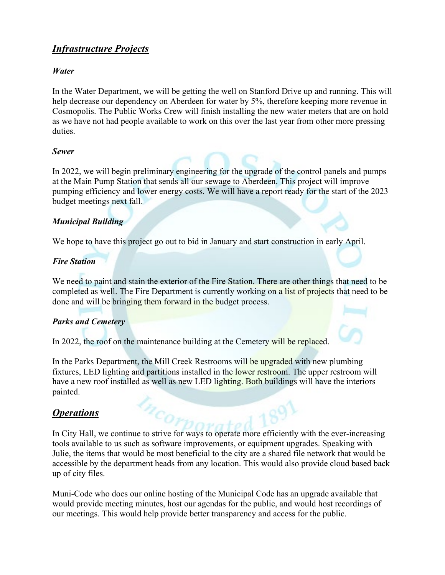# *Infrastructure Projects*

#### *Water*

In the Water Department, we will be getting the well on Stanford Drive up and running. This will help decrease our dependency on Aberdeen for water by 5%, therefore keeping more revenue in Cosmopolis. The Public Works Crew will finish installing the new water meters that are on hold as we have not had people available to work on this over the last year from other more pressing duties.

#### *Sewer*

In 2022, we will begin preliminary engineering for the upgrade of the control panels and pumps at the Main Pump Station that sends all our sewage to Aberdeen. This project will improve pumping efficiency and lower energy costs. We will have a report ready for the start of the 2023 budget meetings next fall.

#### *Municipal Building*

We hope to have this project go out to bid in January and start construction in early April.

#### *Fire Station*

We need to paint and stain the exterior of the Fire Station. There are other things that need to be completed as well. The Fire Department is currently working on a list of projects that need to be done and will be bringing them forward in the budget process.

#### *Parks and Cemetery*

In 2022, the roof on the maintenance building at the Cemetery will be replaced.

In the Parks Department, the Mill Creek Restrooms will be upgraded with new plumbing fixtures, LED lighting and partitions installed in the lower restroom. The upper restroom will have a new roof installed as well as new LED lighting. Both buildings will have the interiors painted.

#### *Operations*

In City Hall, we continue to strive for ways to operate more efficiently with the ever-increasing tools available to us such as software improvements, or equipment upgrades. Speaking with Julie, the items that would be most beneficial to the city are a shared file network that would be accessible by the department heads from any location. This would also provide cloud based back up of city files.

Muni-Code who does our online hosting of the Municipal Code has an upgrade available that would provide meeting minutes, host our agendas for the public, and would host recordings of our meetings. This would help provide better transparency and access for the public.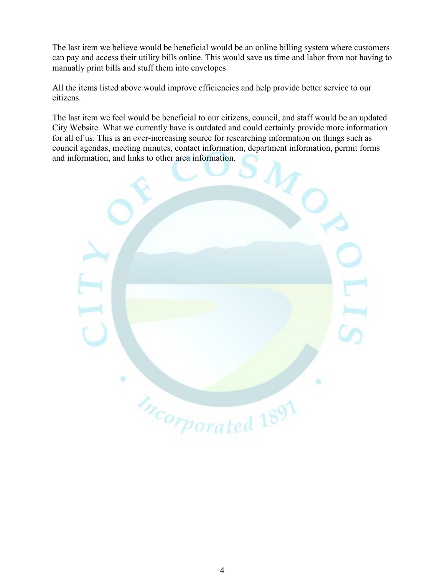The last item we believe would be beneficial would be an online billing system where customers can pay and access their utility bills online. This would save us time and labor from not having to manually print bills and stuff them into envelopes

All the items listed above would improve efficiencies and help provide better service to our citizens.

The last item we feel would be beneficial to our citizens, council, and staff would be an updated City Website. What we currently have is outdated and could certainly provide more information for all of us. This is an ever-increasing source for researching information on things such as council agendas, meeting minutes, contact information, department information, permit forms and information, and links to other area information.

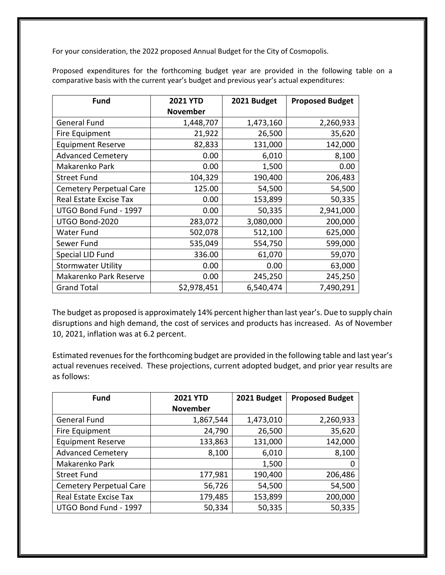For your consideration, the 2022 proposed Annual Budget for the City of Cosmopolis.

Proposed expenditures for the forthcoming budget year are provided in the following table on a comparative basis with the current year's budget and previous year's actual expenditures:

| <b>Fund</b>                    | <b>2021 YTD</b> | 2021 Budget | <b>Proposed Budget</b> |
|--------------------------------|-----------------|-------------|------------------------|
|                                | <b>November</b> |             |                        |
| <b>General Fund</b>            | 1,448,707       | 1,473,160   | 2,260,933              |
| Fire Equipment                 | 21,922          | 26,500      | 35,620                 |
| <b>Equipment Reserve</b>       | 82,833          | 131,000     | 142,000                |
| <b>Advanced Cemetery</b>       | 0.00            | 6,010       | 8,100                  |
| Makarenko Park                 | 0.00            | 1,500       | 0.00                   |
| <b>Street Fund</b>             | 104,329         | 190,400     | 206,483                |
| <b>Cemetery Perpetual Care</b> | 125.00          | 54,500      | 54,500                 |
| Real Estate Excise Tax         | 0.00            | 153,899     | 50,335                 |
| UTGO Bond Fund - 1997          | 0.00            | 50,335      | 2,941,000              |
| UTGO Bond-2020                 | 283,072         | 3,080,000   | 200,000                |
| <b>Water Fund</b>              | 502,078         | 512,100     | 625,000                |
| Sewer Fund                     | 535,049         | 554,750     | 599,000                |
| Special LID Fund               | 336.00          | 61,070      | 59,070                 |
| <b>Stormwater Utility</b>      | 0.00            | 0.00        | 63,000                 |
| Makarenko Park Reserve         | 0.00            | 245,250     | 245,250                |
| <b>Grand Total</b>             | \$2,978,451     | 6,540,474   | 7,490,291              |

The budget as proposed is approximately 14% percent higher than last year's. Due to supply chain disruptions and high demand, the cost of services and products has increased. As of November 10, 2021, inflation was at 6.2 percent.

Estimated revenues for the forthcoming budget are provided in the following table and last year's actual revenues received. These projections, current adopted budget, and prior year results are as follows:

| <b>Fund</b>                    | <b>2021 YTD</b> | 2021 Budget | <b>Proposed Budget</b> |
|--------------------------------|-----------------|-------------|------------------------|
|                                | <b>November</b> |             |                        |
| <b>General Fund</b>            | 1,867,544       | 1,473,010   | 2,260,933              |
| Fire Equipment                 | 24,790          | 26,500      | 35,620                 |
| <b>Equipment Reserve</b>       | 133,863         | 131,000     | 142,000                |
| <b>Advanced Cemetery</b>       | 8,100           | 6,010       | 8,100                  |
| Makarenko Park                 |                 | 1,500       | 0                      |
| <b>Street Fund</b>             | 177,981         | 190,400     | 206,486                |
| <b>Cemetery Perpetual Care</b> | 56,726          | 54,500      | 54,500                 |
| Real Estate Excise Tax         | 179,485         | 153,899     | 200,000                |
| UTGO Bond Fund - 1997          | 50,334          | 50,335      | 50,335                 |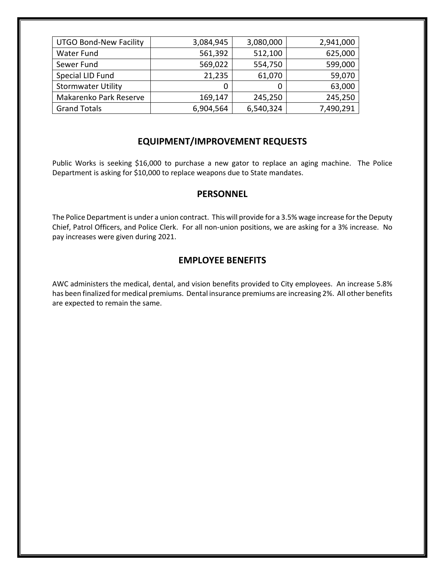| <b>UTGO Bond-New Facility</b> | 3,084,945 | 3,080,000 | 2,941,000 |
|-------------------------------|-----------|-----------|-----------|
| Water Fund                    | 561,392   | 512,100   | 625,000   |
| Sewer Fund                    | 569,022   | 554,750   | 599,000   |
| Special LID Fund              | 21,235    | 61,070    | 59,070    |
| <b>Stormwater Utility</b>     | 0         |           | 63,000    |
| Makarenko Park Reserve        | 169,147   | 245,250   | 245,250   |
| <b>Grand Totals</b>           | 6,904,564 | 6,540,324 | 7,490,291 |

#### **EQUIPMENT/IMPROVEMENT REQUESTS**

Public Works is seeking \$16,000 to purchase a new gator to replace an aging machine. The Police Department is asking for \$10,000 to replace weapons due to State mandates.

#### **PERSONNEL**

The Police Department is under a union contract. This will provide for a 3.5% wage increase for the Deputy Chief, Patrol Officers, and Police Clerk. For all non-union positions, we are asking for a 3% increase. No pay increases were given during 2021.

#### **EMPLOYEE BENEFITS**

AWC administers the medical, dental, and vision benefits provided to City employees. An increase 5.8% has been finalized for medical premiums. Dental insurance premiums are increasing 2%. All other benefits are expected to remain the same.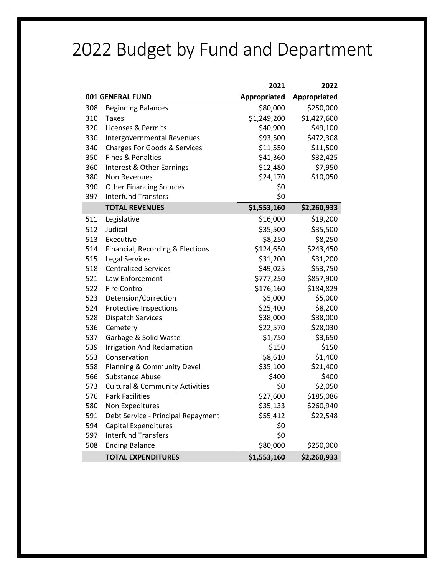# 2022 Budget by Fund and Department

|     |                                            | 2021         | 2022         |
|-----|--------------------------------------------|--------------|--------------|
|     | 001 GENERAL FUND                           | Appropriated | Appropriated |
| 308 | <b>Beginning Balances</b>                  | \$80,000     | \$250,000    |
| 310 | <b>Taxes</b>                               | \$1,249,200  | \$1,427,600  |
| 320 | Licenses & Permits                         | \$40,900     | \$49,100     |
| 330 | Intergovernmental Revenues                 | \$93,500     | \$472,308    |
| 340 | <b>Charges For Goods &amp; Services</b>    | \$11,550     | \$11,500     |
| 350 | <b>Fines &amp; Penalties</b>               | \$41,360     | \$32,425     |
| 360 | Interest & Other Earnings                  | \$12,480     | \$7,950      |
| 380 | Non Revenues                               | \$24,170     | \$10,050     |
| 390 | <b>Other Financing Sources</b>             | \$0          |              |
| 397 | <b>Interfund Transfers</b>                 | \$0          |              |
|     | <b>TOTAL REVENUES</b>                      | \$1,553,160  | \$2,260,933  |
| 511 | Legislative                                | \$16,000     | \$19,200     |
| 512 | Judical                                    | \$35,500     | \$35,500     |
| 513 | Executive                                  | \$8,250      | \$8,250      |
| 514 | Financial, Recording & Elections           | \$124,650    | \$243,450    |
| 515 | <b>Legal Services</b>                      | \$31,200     | \$31,200     |
| 518 | <b>Centralized Services</b>                | \$49,025     | \$53,750     |
| 521 | Law Enforcement                            | \$777,250    | \$857,900    |
| 522 | <b>Fire Control</b>                        | \$176,160    | \$184,829    |
| 523 | Detension/Correction                       | \$5,000      | \$5,000      |
| 524 | Protective Inspections                     | \$25,400     | \$8,200      |
| 528 | <b>Dispatch Services</b>                   | \$38,000     | \$38,000     |
| 536 | Cemetery                                   | \$22,570     | \$28,030     |
| 537 | Garbage & Solid Waste                      | \$1,750      | \$3,650      |
| 539 | <b>Irrigation And Reclamation</b>          | \$150        | \$150        |
| 553 | Conservation                               | \$8,610      | \$1,400      |
| 558 | Planning & Community Devel                 | \$35,100     | \$21,400     |
| 566 | <b>Substance Abuse</b>                     | \$400        | \$400        |
| 573 | <b>Cultural &amp; Community Activities</b> | \$0          | \$2,050      |
| 576 | <b>Park Facilities</b>                     | \$27,600     | \$185,086    |
| 580 | <b>Non Expeditures</b>                     | \$35,133     | \$260,940    |
| 591 | Debt Service - Principal Repayment         | \$55,412     | \$22,548     |
| 594 | <b>Capital Expenditures</b>                | \$0          |              |
| 597 | <b>Interfund Transfers</b>                 | \$0          |              |
| 508 | <b>Ending Balance</b>                      | \$80,000     | \$250,000    |
|     | <b>TOTAL EXPENDITURES</b>                  | \$1,553,160  | \$2,260,933  |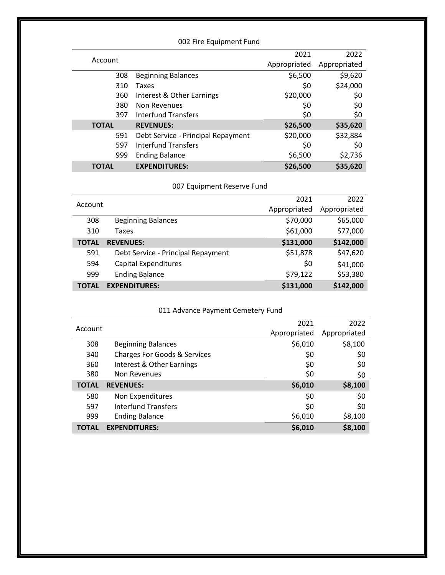|              | 002 Fire Equipment Fund            |              |              |  |
|--------------|------------------------------------|--------------|--------------|--|
|              |                                    | 2021         | 2022         |  |
| Account      |                                    | Appropriated | Appropriated |  |
| 308          | <b>Beginning Balances</b>          | \$6,500      | \$9,620      |  |
| 310          | Taxes                              | \$0          | \$24,000     |  |
| 360          | Interest & Other Earnings          | \$20,000     | \$0          |  |
| 380          | Non Revenues                       | \$0          | \$0          |  |
| 397          | Interfund Transfers                | \$0          | \$0          |  |
| <b>TOTAL</b> | <b>REVENUES:</b>                   | \$26,500     | \$35,620     |  |
| 591          | Debt Service - Principal Repayment | \$20,000     | \$32,884     |  |
| 597          | <b>Interfund Transfers</b>         | \$0          | \$0          |  |
| 999          | <b>Ending Balance</b>              | \$6,500      | \$2,736      |  |
| <b>TOTAL</b> | <b>EXPENDITURES:</b>               | \$26,500     | \$35,620     |  |

007 Equipment Reserve Fund

|              |                                    | 2021         | 2022         |
|--------------|------------------------------------|--------------|--------------|
| Account      |                                    | Appropriated | Appropriated |
| 308          | <b>Beginning Balances</b>          | \$70,000     | \$65,000     |
| 310          | Taxes                              | \$61,000     | \$77,000     |
| <b>TOTAL</b> | <b>REVENUES:</b>                   | \$131,000    | \$142,000    |
| 591          | Debt Service - Principal Repayment | \$51,878     | \$47,620     |
| 594          | <b>Capital Expenditures</b>        | \$0          | \$41,000     |
| 999          | <b>Ending Balance</b>              | \$79,122     | \$53,380     |
| <b>TOTAL</b> | <b>EXPENDITURES:</b>               | \$131,000    | \$142,000    |

#### 011 Advance Payment Cemetery Fund

|              |                                         | 2021         | 2022         |
|--------------|-----------------------------------------|--------------|--------------|
| Account      |                                         | Appropriated | Appropriated |
| 308          | <b>Beginning Balances</b>               | \$6,010      | \$8,100      |
| 340          | <b>Charges For Goods &amp; Services</b> | \$0          | \$0          |
| 360          | Interest & Other Earnings               | \$0          | \$0          |
| 380          | Non Revenues                            | \$0          | \$0          |
| <b>TOTAL</b> | <b>REVENUES:</b>                        | \$6,010      | \$8,100      |
| 580          | Non Expenditures                        | \$0          | \$0          |
| 597          | <b>Interfund Transfers</b>              | \$0          | \$0          |
| 999          | <b>Ending Balance</b>                   | \$6,010      | \$8,100      |
| ΤΟΤΑL        | <b>EXPENDITURES:</b>                    | \$6,010      | \$8,100      |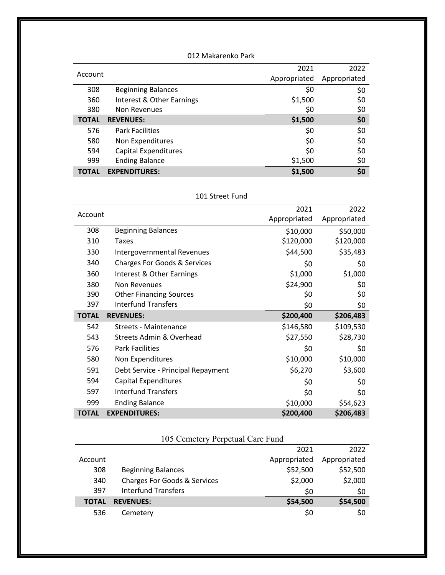| 012 Makarenko Park |                           |              |              |
|--------------------|---------------------------|--------------|--------------|
| Account            |                           | 2021         | 2022         |
|                    |                           | Appropriated | Appropriated |
| 308                | <b>Beginning Balances</b> | \$0          | \$0          |
| 360                | Interest & Other Earnings | \$1,500      | \$0          |
| 380                | Non Revenues              | \$0          | \$0          |
| <b>TOTAL</b>       | <b>REVENUES:</b>          | \$1,500      | \$0          |
| 576                | <b>Park Facilities</b>    | \$0          | \$0          |
| 580                | Non Expenditures          | \$0          | \$0          |
| 594                | Capital Expenditures      | \$0          | \$0          |
| 999                | <b>Ending Balance</b>     | \$1,500      | \$0          |
| <b>TOTAL</b>       | <b>EXPENDITURES:</b>      | \$1,500      | \$0          |

#### 101 Street Fund

| Account      |                                         | 2021         | 2022         |
|--------------|-----------------------------------------|--------------|--------------|
|              |                                         | Appropriated | Appropriated |
| 308          | <b>Beginning Balances</b>               | \$10,000     | \$50,000     |
| 310          | Taxes                                   | \$120,000    | \$120,000    |
| 330          | Intergovernmental Revenues              | \$44,500     | \$35,483     |
| 340          | <b>Charges For Goods &amp; Services</b> | \$0          | \$0          |
| 360          | Interest & Other Earnings               | \$1,000      | \$1,000      |
| 380          | Non Revenues                            | \$24,900     | \$0          |
| 390          | <b>Other Financing Sources</b>          | \$0          | \$0          |
| 397          | <b>Interfund Transfers</b>              | \$0          | \$0          |
| <b>TOTAL</b> | <b>REVENUES:</b>                        | \$200,400    | \$206,483    |
| 542          | <b>Streets - Maintenance</b>            | \$146,580    | \$109,530    |
| 543          | <b>Streets Admin &amp; Overhead</b>     | \$27,550     | \$28,730     |
| 576          | <b>Park Facilities</b>                  | \$0          | \$0          |
| 580          | Non Expenditures                        | \$10,000     | \$10,000     |
| 591          | Debt Service - Principal Repayment      | \$6,270      | \$3,600      |
| 594          | Capital Expenditures                    | \$0          | \$0          |
| 597          | <b>Interfund Transfers</b>              | \$0          | \$0          |
| 999          | <b>Ending Balance</b>                   | \$10,000     | \$54,623     |
| <b>TOTAL</b> | <b>EXPENDITURES:</b>                    | \$200,400    | \$206,483    |

# 105 Cemetery Perpetual Care Fund

|              |                                         | 2021         | 2022         |
|--------------|-----------------------------------------|--------------|--------------|
| Account      |                                         | Appropriated | Appropriated |
| 308          | <b>Beginning Balances</b>               | \$52,500     | \$52,500     |
| 340          | <b>Charges For Goods &amp; Services</b> | \$2,000      | \$2,000      |
| 397          | <b>Interfund Transfers</b>              | \$0          | \$0          |
| <b>TOTAL</b> | <b>REVENUES:</b>                        | \$54,500     | \$54,500     |
| 536          | Cemetery                                | \$0          | S0           |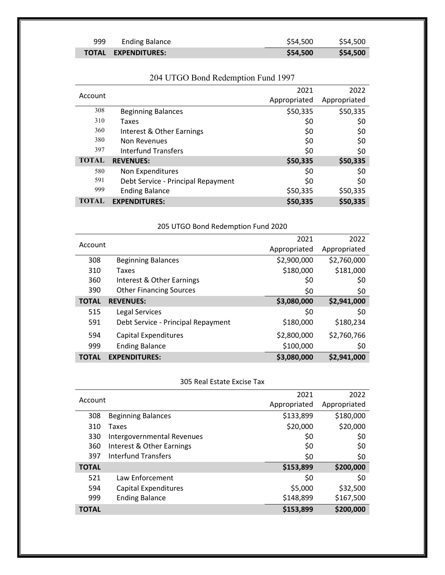| 999 | <b>Ending Balance</b>      | \$54,500 | \$54,500 |
|-----|----------------------------|----------|----------|
|     | <b>TOTAL EXPENDITURES:</b> | \$54,500 | \$54,500 |

|              |                                    | 2021         | 2022         |
|--------------|------------------------------------|--------------|--------------|
| Account      |                                    | Appropriated | Appropriated |
| 308          | <b>Beginning Balances</b>          | \$50,335     | \$50,335     |
| 310          | Taxes                              | \$0          | \$0          |
| 360          | Interest & Other Earnings          | \$0          | \$0          |
| 380          | Non Revenues                       | \$0          | \$0          |
| 397          | Interfund Transfers                | \$0          | \$0          |
| <b>TOTAL</b> | <b>REVENUES:</b>                   | \$50,335     | \$50,335     |
| 580          | Non Expenditures                   | \$0          | \$0          |
| 591          | Debt Service - Principal Repayment | \$0          | \$0          |
| 999          | <b>Ending Balance</b>              | \$50,335     | \$50,335     |
| <b>TOTAL</b> | <b>EXPENDITURES:</b>               | \$50,335     | \$50,335     |

# 204 UTGO Bond Redemption Fund 1997

#### 205 UTGO Bond Redemption Fund 2020

| Account      |                                    | 2021         | 2022         |
|--------------|------------------------------------|--------------|--------------|
|              |                                    | Appropriated | Appropriated |
| 308          | <b>Beginning Balances</b>          | \$2,900,000  | \$2,760,000  |
| 310          | Taxes                              | \$180,000    | \$181,000    |
| 360          | Interest & Other Earnings          | \$0          | \$0          |
| 390          | <b>Other Financing Sources</b>     | \$0          | \$0          |
| <b>TOTAL</b> | <b>REVENUES:</b>                   | \$3,080,000  | \$2,941,000  |
| 515          | Legal Services                     | \$0          | \$0          |
| 591          | Debt Service - Principal Repayment | \$180,000    | \$180,234    |
| 594          | Capital Expenditures               | \$2,800,000  | \$2,760,766  |
| 999          | <b>Ending Balance</b>              | \$100,000    | \$0          |
| <b>TOTAL</b> | <b>EXPENDITURES:</b>               | \$3,080,000  | \$2,941,000  |

#### 305 Real Estate Excise Tax

|              |                            | 2021         | 2022         |
|--------------|----------------------------|--------------|--------------|
| Account      |                            | Appropriated | Appropriated |
| 308          | <b>Beginning Balances</b>  | \$133,899    | \$180,000    |
| 310          | Taxes                      | \$20,000     | \$20,000     |
| 330          | Intergovernmental Revenues | \$0          | \$0          |
| 360          | Interest & Other Earnings  | \$0          | \$0          |
| 397          | Interfund Transfers        | \$0          | \$0          |
| <b>TOTAL</b> |                            | \$153,899    | \$200,000    |
| 521          | Law Enforcement            | \$0          | \$0          |
| 594          | Capital Expenditures       | \$5,000      | \$32,500     |
| 999          | <b>Ending Balance</b>      | \$148,899    | \$167,500    |
| <b>TOTAL</b> |                            | \$153,899    | \$200,000    |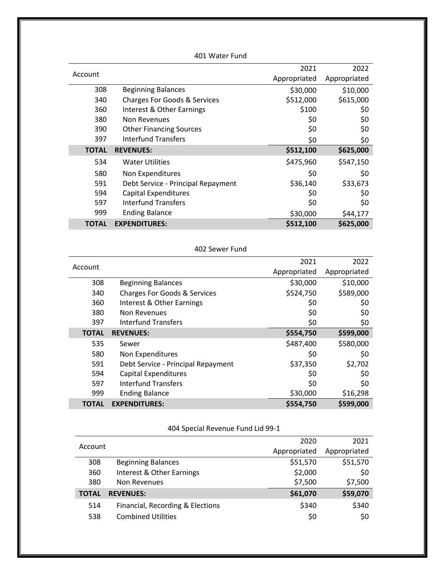| 401 Water Fund |                                    |              |              |
|----------------|------------------------------------|--------------|--------------|
|                |                                    | 2021         | 2022         |
| Account        |                                    | Appropriated | Appropriated |
| 308            | <b>Beginning Balances</b>          | \$30,000     | \$10,000     |
| 340            | Charges For Goods & Services       | \$512,000    | \$615,000    |
| 360            | Interest & Other Earnings          | \$100        | \$0          |
| 380            | Non Revenues                       | \$0          | \$0          |
| 390            | <b>Other Financing Sources</b>     | \$0          | \$0          |
| 397            | Interfund Transfers                | \$0          | \$0          |
| <b>TOTAL</b>   | <b>REVENUES:</b>                   | \$512,100    | \$625,000    |
| 534            | <b>Water Utilities</b>             | \$475,960    | \$547,150    |
| 580            | Non Expenditures                   | \$0          | \$0          |
| 591            | Debt Service - Principal Repayment | \$36,140     | \$33,673     |
| 594            | Capital Expenditures               | \$0          | \$0          |
| 597            | Interfund Transfers                | \$0          | \$0          |
| 999            | <b>Ending Balance</b>              | \$30,000     | \$44,177     |
| <b>TOTAL</b>   | <b>EXPENDITURES:</b>               | \$512,100    | \$625,000    |

| 402 Sewer Fund |  |
|----------------|--|

|              |                                         | 2021         | 2022         |
|--------------|-----------------------------------------|--------------|--------------|
| Account      |                                         | Appropriated | Appropriated |
| 308          | <b>Beginning Balances</b>               | \$30,000     | \$10,000     |
| 340          | <b>Charges For Goods &amp; Services</b> | \$524,750    | \$589,000    |
| 360          | Interest & Other Earnings               | \$0          | \$0          |
| 380          | Non Revenues                            | \$0          | \$0          |
| 397          | Interfund Transfers                     | \$0          | \$0          |
| <b>TOTAL</b> | <b>REVENUES:</b>                        | \$554,750    | \$599,000    |
| 535          | Sewer                                   | \$487,400    | \$580,000    |
| 580          | Non Expenditures                        | \$0          | \$0          |
| 591          | Debt Service - Principal Repayment      | \$37,350     | \$2,702      |
| 594          | <b>Capital Expenditures</b>             | \$0          | \$0          |
| 597          | Interfund Transfers                     | \$0          | \$0          |
| 999          | <b>Ending Balance</b>                   | \$30,000     | \$16,298     |
| <b>TOTAL</b> | <b>EXPENDITURES:</b>                    | \$554,750    | \$599,000    |

404 Special Revenue Fund Lid 99-1

|         |                                  | 2020         | 2021         |
|---------|----------------------------------|--------------|--------------|
| Account |                                  | Appropriated | Appropriated |
| 308     | <b>Beginning Balances</b>        | \$51,570     | \$51,570     |
| 360     | Interest & Other Earnings        | \$2,000      | \$0          |
| 380     | Non Revenues                     | \$7,500      | \$7,500      |
| TOTAL   | <b>REVENUES:</b>                 | \$61,070     | \$59,070     |
| 514     | Financial, Recording & Elections | \$340        | \$340        |
| 538     | <b>Combined Utilities</b>        | \$0          | \$0          |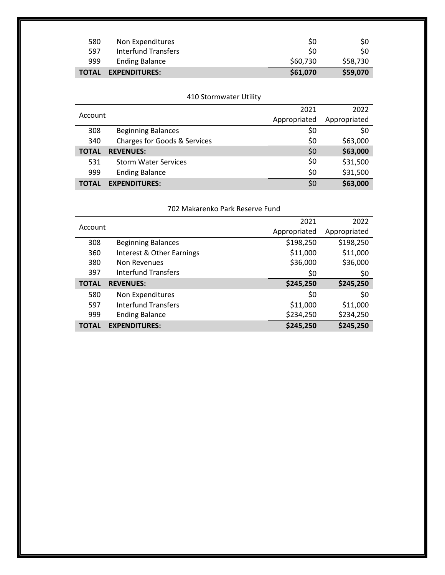| 580          | Non Expenditures      | S0       | S0       |
|--------------|-----------------------|----------|----------|
| 597          | Interfund Transfers   | S0       | S0       |
| 999          | <b>Ending Balance</b> | \$60,730 | \$58,730 |
| <b>TOTAL</b> | <b>EXPENDITURES:</b>  | \$61,070 | \$59,070 |

|              | 410 Stormwater Utility                  |              |              |
|--------------|-----------------------------------------|--------------|--------------|
|              |                                         | 2021         | 2022         |
| Account      |                                         | Appropriated | Appropriated |
| 308          | <b>Beginning Balances</b>               | \$0          | \$0          |
| 340          | <b>Charges for Goods &amp; Services</b> | \$0          | \$63,000     |
| <b>TOTAL</b> | <b>REVENUES:</b>                        | \$0          | \$63,000     |
| 531          | <b>Storm Water Services</b>             | \$0          | \$31,500     |
| 999          | <b>Ending Balance</b>                   | \$0          | \$31,500     |
| <b>TOTAL</b> | <b>EXPENDITURES:</b>                    | \$0          | \$63,000     |

| 702 Makarenko Park Reserve Fund |  |
|---------------------------------|--|
|---------------------------------|--|

|              |                            | 2021         | 2022         |
|--------------|----------------------------|--------------|--------------|
| Account      |                            | Appropriated | Appropriated |
| 308          | <b>Beginning Balances</b>  | \$198,250    | \$198,250    |
| 360          | Interest & Other Earnings  | \$11,000     | \$11,000     |
| 380          | Non Revenues               | \$36,000     | \$36,000     |
| 397          | <b>Interfund Transfers</b> | \$0          | \$0          |
| <b>TOTAL</b> | <b>REVENUES:</b>           | \$245,250    | \$245,250    |
| 580          | Non Expenditures           | \$0          | \$0          |
| 597          | <b>Interfund Transfers</b> | \$11,000     | \$11,000     |
| 999          | <b>Ending Balance</b>      | \$234,250    | \$234,250    |
| <b>TOTAL</b> | <b>EXPENDITURES:</b>       | \$245,250    | \$245,250    |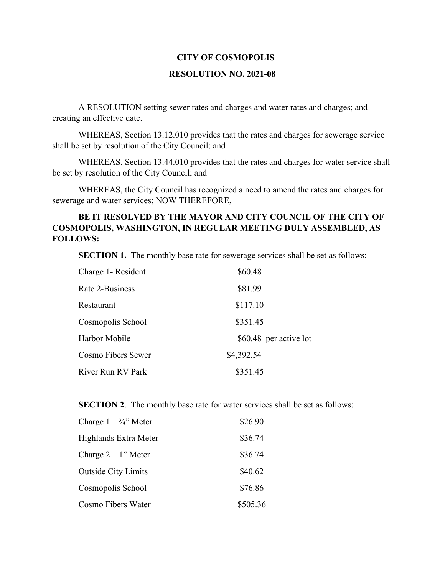#### **RESOLUTION NO. 2021-08**

A RESOLUTION setting sewer rates and charges and water rates and charges; and creating an effective date.

WHEREAS, Section 13.12.010 provides that the rates and charges for sewerage service shall be set by resolution of the City Council; and

WHEREAS, Section 13.44.010 provides that the rates and charges for water service shall be set by resolution of the City Council; and

WHEREAS, the City Council has recognized a need to amend the rates and charges for sewerage and water services; NOW THEREFORE,

#### **BE IT RESOLVED BY THE MAYOR AND CITY COUNCIL OF THE CITY OF COSMOPOLIS, WASHINGTON, IN REGULAR MEETING DULY ASSEMBLED, AS FOLLOWS:**

**SECTION 1.** The monthly base rate for sewerage services shall be set as follows:

| Charge 1- Resident | \$60.48                |  |
|--------------------|------------------------|--|
| Rate 2-Business    | \$81.99                |  |
| Restaurant         | \$117.10               |  |
| Cosmopolis School  | \$351.45               |  |
| Harbor Mobile      | \$60.48 per active lot |  |
| Cosmo Fibers Sewer | \$4,392.54             |  |
| River Run RV Park  | \$351.45               |  |

**SECTION 2.** The monthly base rate for water services shall be set as follows:

| Charge $1 - \frac{3}{4}$ " Meter | \$26.90  |
|----------------------------------|----------|
| Highlands Extra Meter            | \$36.74  |
| Charge $2 - 1$ " Meter           | \$36.74  |
| <b>Outside City Limits</b>       | \$40.62  |
| Cosmopolis School                | \$76.86  |
| Cosmo Fibers Water               | \$505.36 |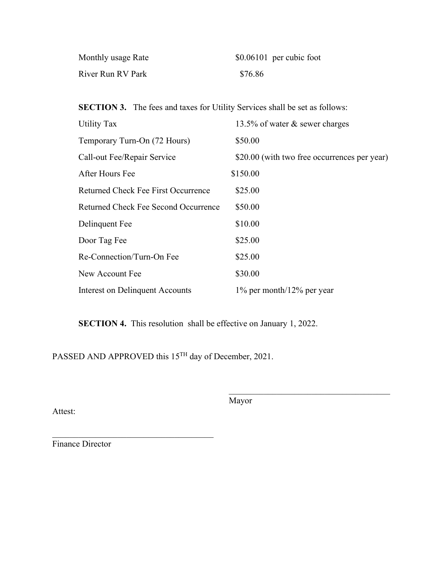| Monthly usage Rate | $$0.06101$ per cubic foot |
|--------------------|---------------------------|
| River Run RV Park  | \$76.86                   |

**SECTION 3.** The fees and taxes for Utility Services shall be set as follows:

| Utility Tax                          | 13.5% of water & sewer charges               |
|--------------------------------------|----------------------------------------------|
| Temporary Turn-On (72 Hours)         | \$50.00                                      |
| Call-out Fee/Repair Service          | \$20.00 (with two free occurrences per year) |
| After Hours Fee                      | \$150.00                                     |
| Returned Check Fee First Occurrence  | \$25.00                                      |
| Returned Check Fee Second Occurrence | \$50.00                                      |
| Delinquent Fee                       | \$10.00                                      |
| Door Tag Fee                         | \$25.00                                      |
| Re-Connection/Turn-On Fee            | \$25.00                                      |
| New Account Fee                      | \$30.00                                      |
| Interest on Delinquent Accounts      | $1\%$ per month/ $12\%$ per year             |

**SECTION 4.** This resolution shall be effective on January 1, 2022.

PASSED AND APPROVED this 15<sup>TH</sup> day of December, 2021.

Attest:

Mayor

 $\mathcal{L}_\text{max}$  and  $\mathcal{L}_\text{max}$  and  $\mathcal{L}_\text{max}$  and  $\mathcal{L}_\text{max}$ 

Finance Director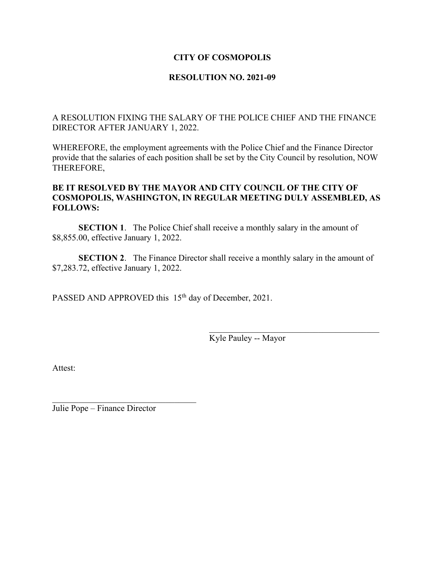#### **RESOLUTION NO. 2021-09**

A RESOLUTION FIXING THE SALARY OF THE POLICE CHIEF AND THE FINANCE DIRECTOR AFTER JANUARY 1, 2022.

WHEREFORE, the employment agreements with the Police Chief and the Finance Director provide that the salaries of each position shall be set by the City Council by resolution, NOW THEREFORE,

#### **BE IT RESOLVED BY THE MAYOR AND CITY COUNCIL OF THE CITY OF COSMOPOLIS, WASHINGTON, IN REGULAR MEETING DULY ASSEMBLED, AS FOLLOWS:**

**SECTION 1.** The Police Chief shall receive a monthly salary in the amount of \$8,855.00, effective January 1, 2022.

**SECTION 2.** The Finance Director shall receive a monthly salary in the amount of \$7,283.72, effective January 1, 2022.

PASSED AND APPROVED this 15<sup>th</sup> day of December, 2021.

Kyle Pauley -- Mayor

Attest:

Julie Pope – Finance Director

 $\mathcal{L}$  , which is a set of the set of the set of the set of the set of the set of the set of the set of the set of the set of the set of the set of the set of the set of the set of the set of the set of the set of the s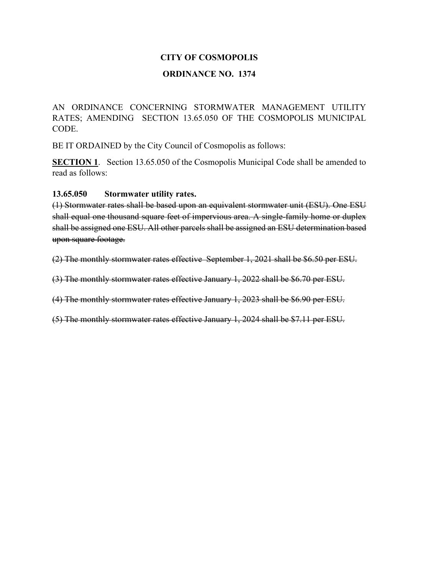#### **ORDINANCE NO. 1374**

AN ORDINANCE CONCERNING STORMWATER MANAGEMENT UTILITY RATES; AMENDING SECTION 13.65.050 OF THE COSMOPOLIS MUNICIPAL CODE.

BE IT ORDAINED by the City Council of Cosmopolis as follows:

**SECTION 1**. Section 13.65.050 of the Cosmopolis Municipal Code shall be amended to read as follows:

**13.65.050 Stormwater utility rates.**

(1) Stormwater rates shall be based upon an equivalent stormwater unit (ESU). One ESU shall equal one thousand square feet of impervious area. A single-family home or duplex shall be assigned one ESU. All other parcels shall be assigned an ESU determination based upon square footage.

(2) The monthly stormwater rates effective September 1, 2021 shall be \$6.50 per ESU.

(3) The monthly stormwater rates effective January 1, 2022 shall be \$6.70 per ESU.

(4) The monthly stormwater rates effective January 1, 2023 shall be \$6.90 per ESU.

(5) The monthly stormwater rates effective January 1, 2024 shall be \$7.11 per ESU.